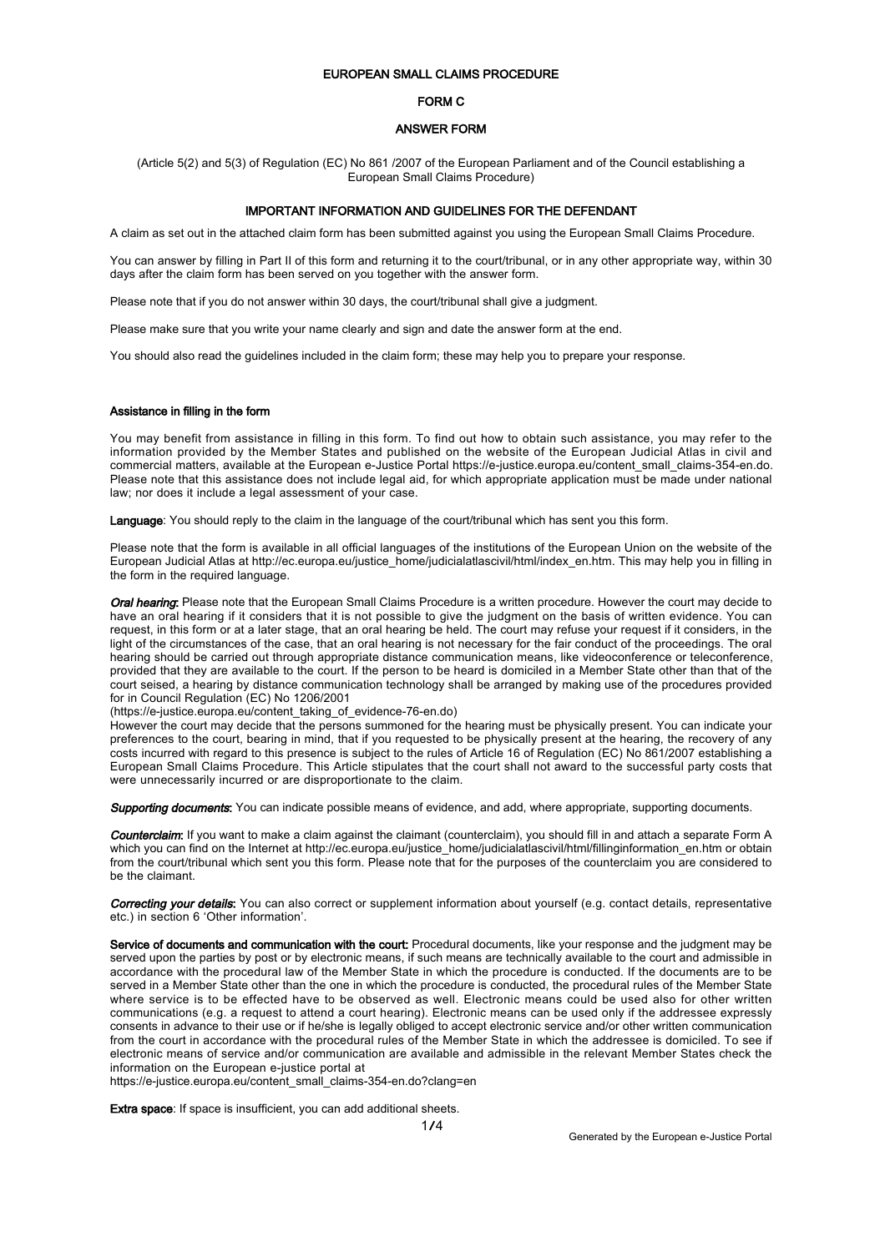## EUROPEAN SMALL CLAIMS PROCEDURE

### FORM C

### ANSWER FORM

(Article 5(2) and 5(3) of Regulation (EC) No 861 /2007 of the European Parliament and of the Council establishing a European Small Claims Procedure)

# IMPORTANT INFORMATION AND GUIDELINES FOR THE DEFENDANT

A claim as set out in the attached claim form has been submitted against you using the European Small Claims Procedure.

You can answer by filling in Part II of this form and returning it to the court/tribunal, or in any other appropriate way, within 30 days after the claim form has been served on you together with the answer form.

Please note that if you do not answer within 30 days, the court/tribunal shall give a judgment.

Please make sure that you write your name clearly and sign and date the answer form at the end.

You should also read the guidelines included in the claim form; these may help you to prepare your response.

#### Assistance in filling in the form

You may benefit from assistance in filling in this form. To find out how to obtain such assistance, you may refer to the information provided by the Member States and published on the website of the European Judicial Atlas in civil and commercial matters, available at the European e-Justice Portal https://e-justice.europa.eu/content\_small\_claims-354-en.do. Please note that this assistance does not include legal aid, for which appropriate application must be made under national law; nor does it include a legal assessment of your case.

Language: You should reply to the claim in the language of the court/tribunal which has sent you this form.

Please note that the form is available in all official languages of the institutions of the European Union on the website of the European Judicial Atlas at http://ec.europa.eu/justice\_home/judicialatlascivil/html/index\_en.htm. This may help you in filling in the form in the required language.

Oral hearing: Please note that the European Small Claims Procedure is a written procedure. However the court mav decide to have an oral hearing if it considers that it is not possible to give the judgment on the basis of written evidence. You can request, in this form or at a later stage, that an oral hearing be held. The court may refuse your request if it considers, in the light of the circumstances of the case, that an oral hearing is not necessary for the fair conduct of the proceedings. The oral hearing should be carried out through appropriate distance communication means, like videoconference or teleconference, provided that they are available to the court. If the person to be heard is domiciled in a Member State other than that of the court seised, a hearing by distance communication technology shall be arranged by making use of the procedures provided for in Council Regulation (EC) No 1206/2001

(https://e-justice.europa.eu/content\_taking\_of\_evidence-76-en.do)

However the court may decide that the persons summoned for the hearing must be physically present. You can indicate your preferences to the court, bearing in mind, that if you requested to be physically present at the hearing, the recovery of any costs incurred with regard to this presence is subject to the rules of Article 16 of Regulation (EC) No 861/2007 establishing a European Small Claims Procedure. This Article stipulates that the court shall not award to the successful party costs that were unnecessarily incurred or are disproportionate to the claim.

Supporting documents: You can indicate possible means of evidence, and add, where appropriate, supporting documents.

Counterclaim: If you want to make a claim against the claimant (counterclaim), you should fill in and attach a separate Form A which you can find on the Internet at http://ec.europa.eu/justice\_home/judicialatlascivil/html/fillinginformation\_en.htm or obtain from the court/tribunal which sent you this form. Please note that for the purposes of the counterclaim you are considered to be the claimant.

Correcting your details: You can also correct or supplement information about yourself (e.g. contact details, representative etc.) in section 6 'Other information'.

Service of documents and communication with the court: Procedural documents, like your response and the judgment may be served upon the parties by post or by electronic means, if such means are technically available to the court and admissible in accordance with the procedural law of the Member State in which the procedure is conducted. If the documents are to be served in a Member State other than the one in which the procedure is conducted, the procedural rules of the Member State where service is to be effected have to be observed as well. Electronic means could be used also for other written communications (e.g. a request to attend a court hearing). Electronic means can be used only if the addressee expressly consents in advance to their use or if he/she is legally obliged to accept electronic service and/or other written communication from the court in accordance with the procedural rules of the Member State in which the addressee is domiciled. To see if electronic means of service and/or communication are available and admissible in the relevant Member States check the information on the European e-justice portal at

https://e-justice.europa.eu/content\_small\_claims-354-en.do?clang=en

Extra space: If space is insufficient, you can add additional sheets.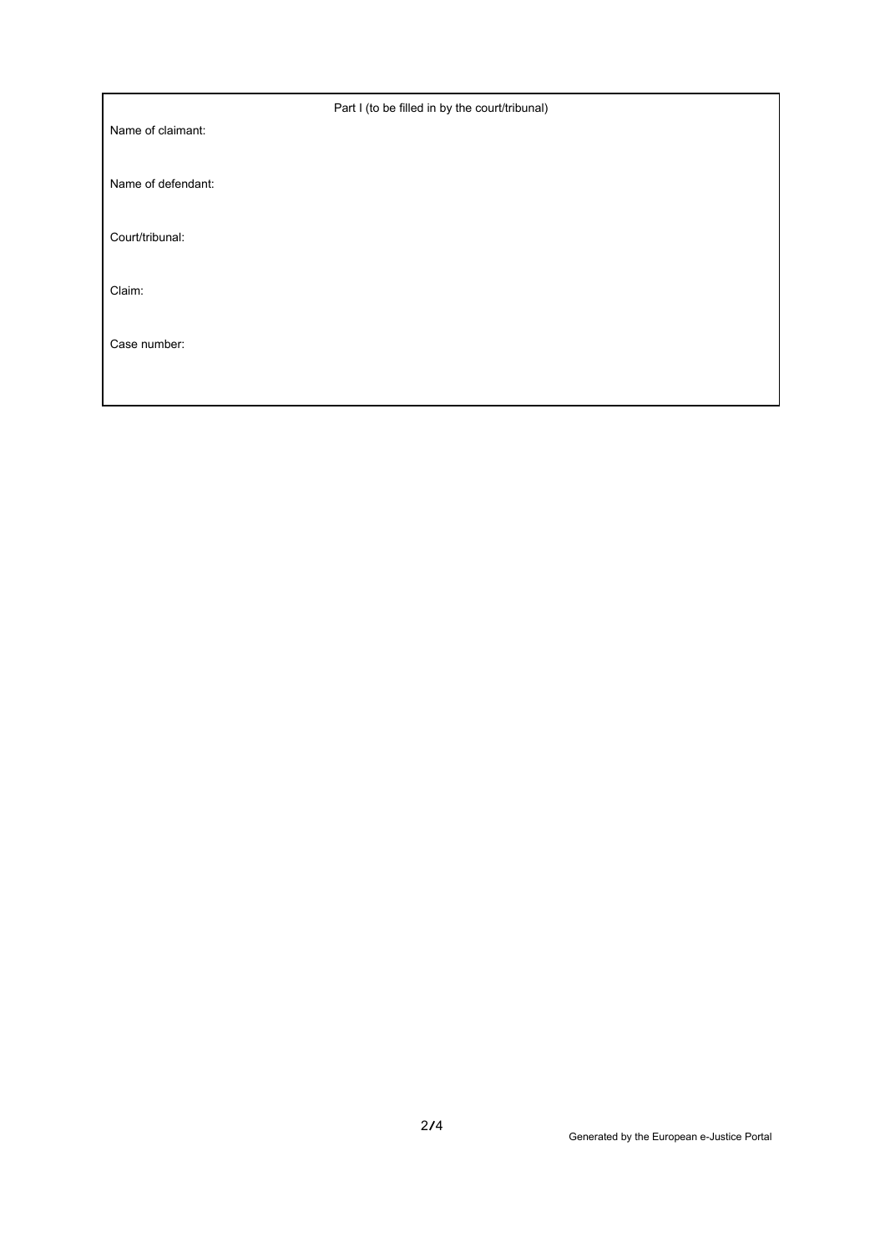|                    | Part I (to be filled in by the court/tribunal) |
|--------------------|------------------------------------------------|
| Name of claimant:  |                                                |
| Name of defendant: |                                                |
| Court/tribunal:    |                                                |
| Claim:             |                                                |
| Case number:       |                                                |
|                    |                                                |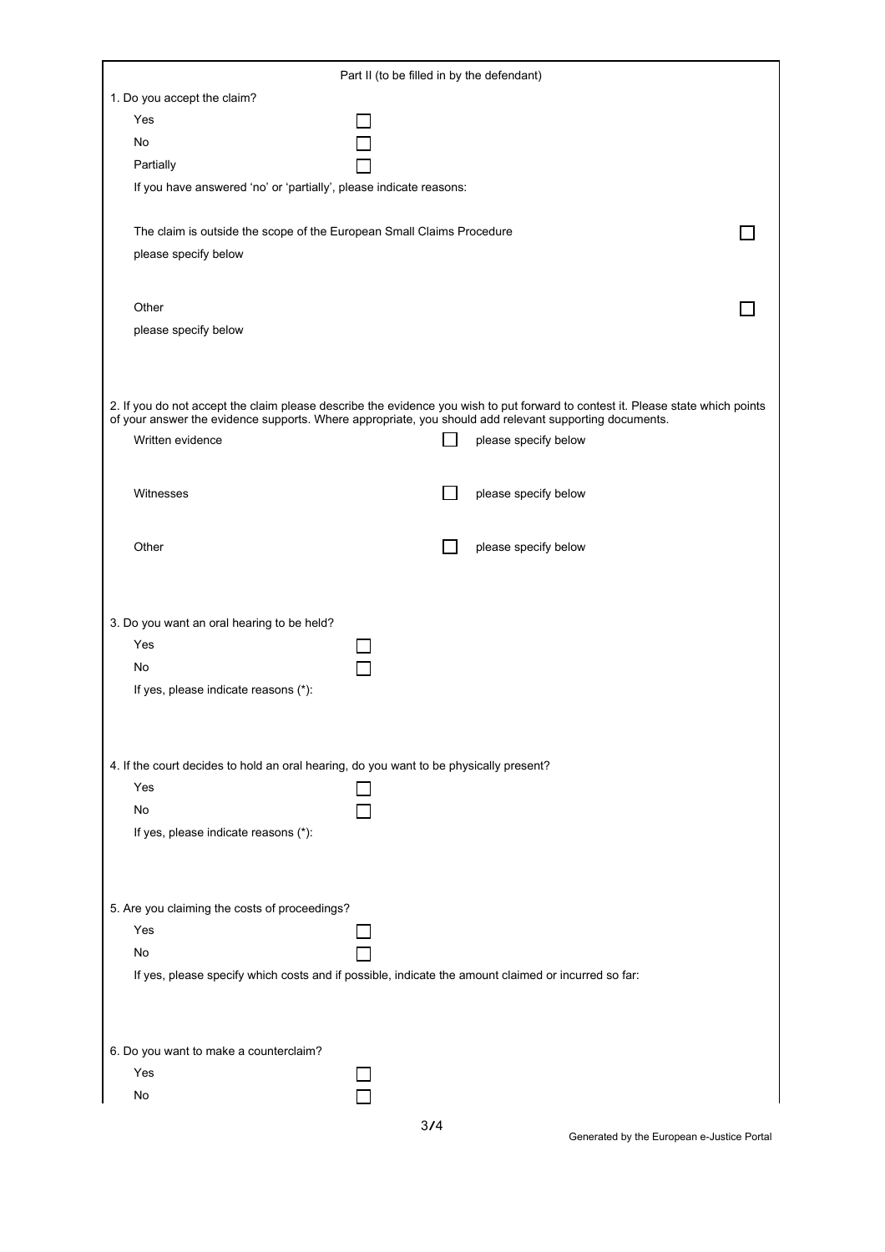| Part II (to be filled in by the defendant)                                                                                      |                                                                                                        |  |  |
|---------------------------------------------------------------------------------------------------------------------------------|--------------------------------------------------------------------------------------------------------|--|--|
| 1. Do you accept the claim?                                                                                                     |                                                                                                        |  |  |
| Yes                                                                                                                             |                                                                                                        |  |  |
| No                                                                                                                              |                                                                                                        |  |  |
| Partially                                                                                                                       |                                                                                                        |  |  |
| If you have answered 'no' or 'partially', please indicate reasons:                                                              |                                                                                                        |  |  |
|                                                                                                                                 |                                                                                                        |  |  |
| The claim is outside the scope of the European Small Claims Procedure                                                           |                                                                                                        |  |  |
| please specify below                                                                                                            |                                                                                                        |  |  |
|                                                                                                                                 |                                                                                                        |  |  |
|                                                                                                                                 |                                                                                                        |  |  |
| Other                                                                                                                           |                                                                                                        |  |  |
| please specify below                                                                                                            |                                                                                                        |  |  |
|                                                                                                                                 |                                                                                                        |  |  |
|                                                                                                                                 |                                                                                                        |  |  |
| 2. If you do not accept the claim please describe the evidence you wish to put forward to contest it. Please state which points |                                                                                                        |  |  |
|                                                                                                                                 | of your answer the evidence supports. Where appropriate, you should add relevant supporting documents. |  |  |
| Written evidence                                                                                                                | please specify below                                                                                   |  |  |
|                                                                                                                                 |                                                                                                        |  |  |
| Witnesses                                                                                                                       | please specify below                                                                                   |  |  |
|                                                                                                                                 |                                                                                                        |  |  |
|                                                                                                                                 |                                                                                                        |  |  |
| Other                                                                                                                           | please specify below                                                                                   |  |  |
|                                                                                                                                 |                                                                                                        |  |  |
|                                                                                                                                 |                                                                                                        |  |  |
| 3. Do you want an oral hearing to be held?                                                                                      |                                                                                                        |  |  |
| Yes                                                                                                                             |                                                                                                        |  |  |
| No                                                                                                                              |                                                                                                        |  |  |
| If yes, please indicate reasons (*):                                                                                            |                                                                                                        |  |  |
|                                                                                                                                 |                                                                                                        |  |  |
|                                                                                                                                 |                                                                                                        |  |  |
| 4. If the court decides to hold an oral hearing, do you want to be physically present?                                          |                                                                                                        |  |  |
| Yes                                                                                                                             |                                                                                                        |  |  |
|                                                                                                                                 |                                                                                                        |  |  |
| No                                                                                                                              |                                                                                                        |  |  |
| If yes, please indicate reasons (*):                                                                                            |                                                                                                        |  |  |
|                                                                                                                                 |                                                                                                        |  |  |
|                                                                                                                                 |                                                                                                        |  |  |
| 5. Are you claiming the costs of proceedings?                                                                                   |                                                                                                        |  |  |
| Yes                                                                                                                             |                                                                                                        |  |  |
| No                                                                                                                              |                                                                                                        |  |  |
|                                                                                                                                 | If yes, please specify which costs and if possible, indicate the amount claimed or incurred so far:    |  |  |
|                                                                                                                                 |                                                                                                        |  |  |
|                                                                                                                                 |                                                                                                        |  |  |
|                                                                                                                                 |                                                                                                        |  |  |
| 6. Do you want to make a counterclaim?                                                                                          |                                                                                                        |  |  |
| Yes                                                                                                                             |                                                                                                        |  |  |
| No                                                                                                                              |                                                                                                        |  |  |